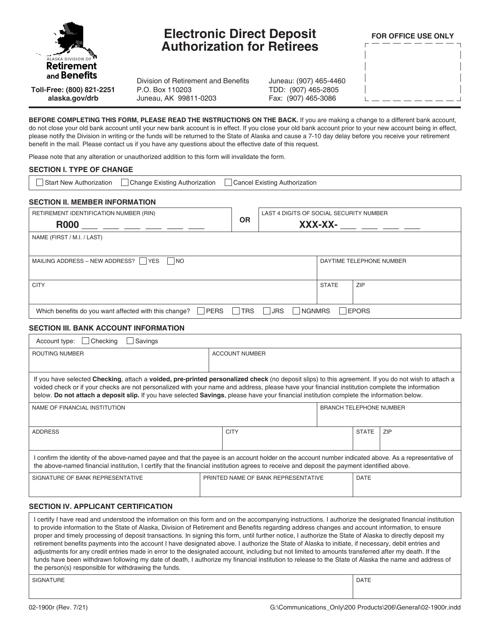

# **Electronic Direct Deposit Authorization for Retirees**

**FOR OFFICE USE ONLY**

**Toll-Free: (800) 821-2251 alaska.gov/drb**

Division of Retirement and Benefits P.O. Box 110203 Juneau, AK 99811-0203

Juneau: (907) 465-4460 TDD: (907) 465-2805 Fax: (907) 465-3086

**BEFORE COMPLETING THIS FORM, PLEASE READ THE INSTRUCTIONS ON THE BACK.** If you are making a change to a different bank account, do not close your old bank account until your new bank account is in effect. If you close your old bank account prior to your new account being in effect, please notify the Division in writing or the funds will be returned to the State of Alaska and cause a 7-10 day delay before you receive your retirement benefit in the mail. Please contact us if you have any questions about the effective date of this request.

Please note that any alteration or unauthorized addition to this form will invalidate the form.

#### **SECTION I. TYPE OF CHANGE**

| Change Existing Authorization<br>Cancel Existing Authorization<br>Start New Authorization                                    |           |         |  |                                         |     |  |  |  |
|------------------------------------------------------------------------------------------------------------------------------|-----------|---------|--|-----------------------------------------|-----|--|--|--|
| <b>SECTION II. MEMBER INFORMATION</b>                                                                                        |           |         |  |                                         |     |  |  |  |
| RETIREMENT IDENTIFICATION NUMBER (RIN)                                                                                       |           |         |  | LAST 4 DIGITS OF SOCIAL SECURITY NUMBER |     |  |  |  |
| <b>R000</b>                                                                                                                  | <b>OR</b> | XXX-XX- |  |                                         |     |  |  |  |
| NAME (FIRST / M.I. / LAST)                                                                                                   |           |         |  |                                         |     |  |  |  |
| MAILING ADDRESS - NEW ADDRESS?  <br><b>YES</b><br> NO                                                                        |           |         |  | DAYTIME TELEPHONE NUMBER                |     |  |  |  |
| <b>CITY</b>                                                                                                                  |           |         |  | <b>STATE</b>                            | ZIP |  |  |  |
| <b>PERS</b><br><b>TRS</b><br> JRS <br><b>NGNMRS</b><br><b>EPORS</b><br>Which benefits do you want affected with this change? |           |         |  |                                         |     |  |  |  |

#### **SECTION III. BANK ACCOUNT INFORMATION**

| Checking<br>Savings<br>Account type:                                                                                                                                                                                                                                                                                                                                                                                                                |                                     |                       |                                |              |     |  |  |  |  |
|-----------------------------------------------------------------------------------------------------------------------------------------------------------------------------------------------------------------------------------------------------------------------------------------------------------------------------------------------------------------------------------------------------------------------------------------------------|-------------------------------------|-----------------------|--------------------------------|--------------|-----|--|--|--|--|
| ROUTING NUMBER                                                                                                                                                                                                                                                                                                                                                                                                                                      |                                     | <b>ACCOUNT NUMBER</b> |                                |              |     |  |  |  |  |
|                                                                                                                                                                                                                                                                                                                                                                                                                                                     |                                     |                       |                                |              |     |  |  |  |  |
| If you have selected Checking, attach a voided, pre-printed personalized check (no deposit slips) to this agreement. If you do not wish to attach a<br>voided check or if your checks are not personalized with your name and address, please have your financial institution complete the information<br>below. Do not attach a deposit slip. If you have selected Savings, please have your financial institution complete the information below. |                                     |                       |                                |              |     |  |  |  |  |
| NAME OF FINANCIAL INSTITUTION                                                                                                                                                                                                                                                                                                                                                                                                                       |                                     |                       | <b>BRANCH TELEPHONE NUMBER</b> |              |     |  |  |  |  |
| <b>ADDRESS</b>                                                                                                                                                                                                                                                                                                                                                                                                                                      |                                     | <b>CITY</b>           |                                | <b>STATE</b> | ZIP |  |  |  |  |
| confirm the identity of the above-named payee and that the payee is an account holder on the account number indicated above. As a representative of<br>the above-named financial institution, I certify that the financial institution agrees to receive and deposit the payment identified above.                                                                                                                                                  |                                     |                       |                                |              |     |  |  |  |  |
| SIGNATURE OF BANK REPRESENTATIVE                                                                                                                                                                                                                                                                                                                                                                                                                    | PRINTED NAME OF BANK REPRESENTATIVE |                       |                                | <b>DATE</b>  |     |  |  |  |  |
| $\overline{1}$                                                                                                                                                                                                                                                                                                                                                                                                                                      |                                     |                       |                                |              |     |  |  |  |  |

#### **SECTION IV. APPLICANT CERTIFICATION**

I certify I have read and understood the information on this form and on the accompanying instructions. I authorize the designated financial institution to provide information to the State of Alaska, Division of Retirement and Benefits regarding address changes and account information, to ensure proper and timely processing of deposit transactions. In signing this form, until further notice, I authorize the State of Alaska to directly deposit my retirement benefits payments into the account I have designated above. I authorize the State of Alaska to initiate, if necessary, debit entries and adjustments for any credit entries made in error to the designated account, including but not limited to amounts transferred after my death. If the funds have been withdrawn following my date of death, I authorize my financial institution to release to the State of Alaska the name and address of the person(s) responsible for withdrawing the funds.

SIGNATURE PRESENTED IN A SERVICE OF STATE OF SIGNATURE PRESENTED IN A SERVICE OF STATE OF DATE.